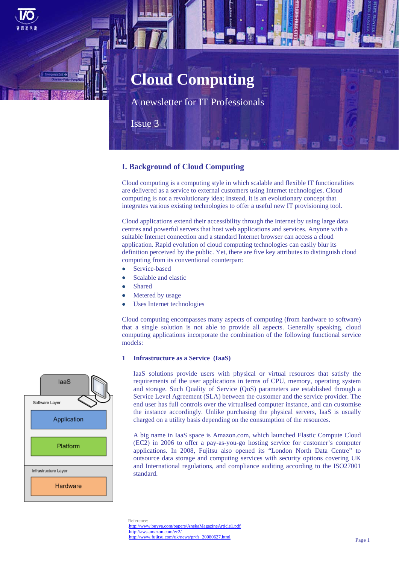# **Cloud Computing**

A newsletter for IT Professionals

Issue 3

# **I. Background of Cloud Computing**

Cloud computing is a computing style in which scalable and flexible IT functionalities are delivered as a service to external customers using Internet technologies. Cloud computing is not a revolutionary idea; Instead, it is an evolutionary concept that integrates various existing technologies to offer a useful new IT provisioning tool.

Cloud applications extend their accessibility through the Internet by using large data centres and powerful servers that host web applications and services. Anyone with a suitable Internet connection and a standard Internet browser can access a cloud application. Rapid evolution of cloud computing technologies can easily blur its definition perceived by the public. Yet, there are five key attributes to distinguish cloud computing from its conventional counterpart:

- Service-based
- Scalable and elastic
- Shared
- Metered by usage
- Uses Internet technologies

Cloud computing encompasses many aspects of computing (from hardware to software) that a single solution is not able to provide all aspects. Generally speaking, cloud computing applications incorporate the combination of the following functional service models:

## **1 Infrastructure as a Service (IaaS)**

IaaS solutions provide users with physical or virtual resources that satisfy the requirements of the user applications in terms of CPU, memory, operating system and storage. Such Quality of Service (QoS) parameters are established through a Service Level Agreement (SLA) between the customer and the service provider. The end user has full controls over the virtualised computer instance, and can customise the instance accordingly. Unlike purchasing the physical servers, IaaS is usually charged on a utility basis depending on the consumption of the resources.

A big name in IaaS space is Amazon.com, which launched Elastic Compute Cloud (EC2) in 2006 to offer a pay-as-you-go hosting service for customer's computer applications. In 2008, Fujitsu also opened its "London North Data Centre" to outsource data storage and computing services with security options covering UK and International regulations, and compliance auditing according to the ISO27001 standard.



laaS

Reference: http://www.buyya.com/papers/AnekaMagazineArticle1.pdf http://aws.amazon.com/ec2/ http://www.fujitsu.com/uk/news/pr/fs\_20080627.html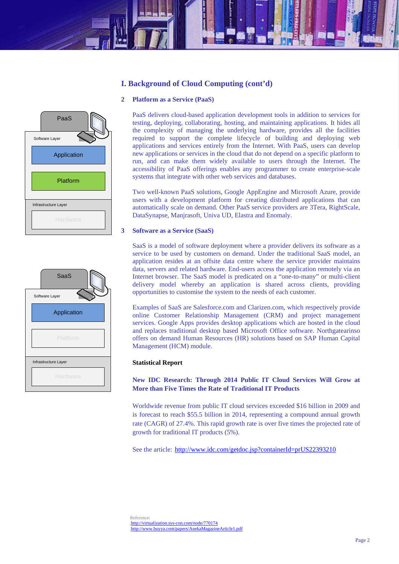# **I. Background of Cloud Computing (cont'd)**

## **2 Platform as a Service (PaaS)**





PaaS delivers cloud-based application development tools in addition to services for testing, deploying, collaborating, hosting, and maintaining applications. It hides all the complexity of managing the underlying hardware, provides all the facilities required to support the complete lifecycle of building and deploying web applications and services entirely from the Internet. With PaaS, users can develop new applications or services in the cloud that do not depend on a specific platform to run, and can make them widely available to users through the Internet. The accessibility of PaaS offerings enables any programmer to create enterprise-scale systems that integrate with other web services and databases.

Two well-known PaaS solutions, Google AppEngine and Microsoft Azure, provide users with a development platform for creating distributed applications that can automatically scale on demand. Other PaaS service providers are 3Tera, RightScale, DataSynapse, Manjrasoft, Univa UD, Elastra and Enomaly.

## **3 Software as a Service (SaaS)**

SaaS is a model of software deployment where a provider delivers its software as a service to be used by customers on demand. Under the traditional SaaS model, an application resides at an offsite data centre where the service provider maintains data, servers and related hardware. End-users access the application remotely via an Internet browser. The SaaS model is predicated on a "one-to-many" or multi-client delivery model whereby an application is shared across clients, providing opportunities to customise the system to the needs of each customer.

Examples of SaaS are Salesforce.com and Clarizen.com, which respectively provide online Customer Relationship Management (CRM) and project management services. Google Apps provides desktop applications which are hosted in the cloud and replaces traditional desktop based Microsoft Office software. Northgatearinso offers on demand Human Resources (HR) solutions based on SAP Human Capital Management (HCM) module.

## **Statistical Report**

**New IDC Research: Through 2014 Public IT Cloud Services Will Grow at More than Five Times the Rate of Traditional IT Products** 

Worldwide revenue from public IT cloud services exceeded \$16 billion in 2009 and is forecast to reach \$55.5 billion in 2014, representing a compound annual growth rate (CAGR) of 27.4%. This rapid growth rate is over five times the projected rate of growth for traditional IT products (5%).

See the article: http://www.idc.com/getdoc.jsp?containerId=prUS22393210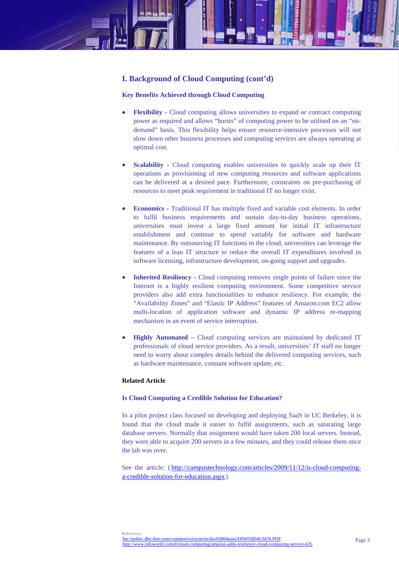

## **Key Benefits Achieved through Cloud Computing**

- **Flexibility -** Cloud computing allows universities to expand or contract computing power as required and allows "bursts" of computing power to be utilised on an "ondemand" basis. This flexibility helps ensure resource-intensive processes will not slow down other business processes and computing services are always operating at optimal cost.
- **Scalability -** Cloud computing enables universities to quickly scale up their IT operations as provisioning of new computing resources and software applications can be delivered at a desired pace. Furthermore, constraints on pre-purchasing of resources to meet peak requirement in traditional IT no longer exist.
- **Economics** Traditional IT has multiple fixed and variable cost elements. In order to fulfil business requirements and sustain day-to-day business operations, universities must invest a large fixed amount for initial IT infrastructure establishment and continue to spend variably for software and hardware maintenance. By outsourcing IT functions to the cloud, universities can leverage the features of a lean IT structure to reduce the overall IT expenditures involved in software licensing, infrastructure development, on-going support and upgrades.
- **Inherited Resiliency Cloud computing removes single points of failure since the** Internet is a highly resilient computing environment. Some competitive service providers also add extra functionalities to enhance resiliency. For example, the "Availability Zones" and "Elastic IP Address" features of Amazon.com EC2 allow multi-location of application software and dynamic IP address re-mapping mechanism in an event of service interruption.
- **Highly Automated Cloud computing services are maintained by dedicated IT** professionals of cloud service providers. As a result, universities' IT staff no longer need to worry about complex details behind the delivered computing services, such as hardware maintenance, constant software update, etc.

## **Related Article**

## **Is Cloud Computing a Credible Solution for Education?**

In a pilot project class focused on developing and deploying SaaS in UC Berkeley, it is found that the cloud made it easier to fulfil assignments, such as saturating large database servers. Normally that assignment would have taken 200 local servers. Instead, they were able to acquire 200 servers in a few minutes, and they could release them once the lab was over.

See the article: (http://campustechnology.com/articles/2009/11/12/is-cloud-computinga-credible-solution-for-education.aspx.)

Reference: .ftp://public.dhe.ibm.com/common/ssi/ecm/en/diw03004usen/DIW03004USEN.PDF http://www.infoworld.com/d/cloud-computing/amazon-adds-resilience-cloud-computing-service-635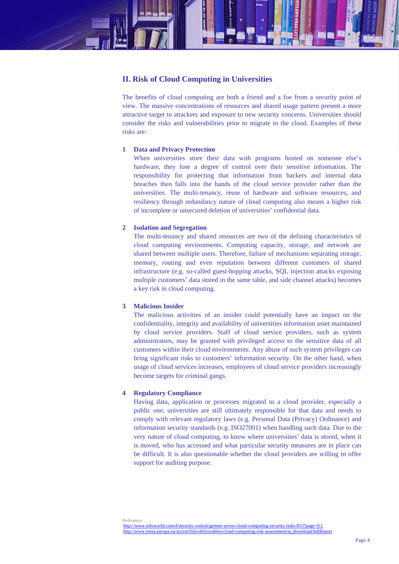

## **II. Risk of Cloud Computing in Universities**

The benefits of cloud computing are both a friend and a foe from a security point of view. The massive concentrations of resources and shared usage pattern present a more attractive target to attackers and exposure to new security concerns. Universities should consider the risks and vulnerabilities prior to migrate to the cloud. Examples of these risks are:

## **1 Data and Privacy Protection**

When universities store their data with programs hosted on someone else's hardware, they lose a degree of control over their sensitive information. The responsibility for protecting that information from hackers and internal data breaches then falls into the hands of the cloud service provider rather than the universities. The multi-tenancy, reuse of hardware and software resources, and resiliency through redundancy nature of cloud computing also means a higher risk of incomplete or unsecured deletion of universities' confidential data.

## **2 Isolation and Segregation**

The multi-tenancy and shared resources are two of the defining characteristics of cloud computing environments. Computing capacity, storage, and network are shared between multiple users. Therefore, failure of mechanisms separating storage, memory, routing and even reputation between different customers of shared infrastructure (e.g. so-called guest-hopping attacks, SQL injection attacks exposing multiple customers' data stored in the same table, and side channel attacks) becomes a key risk in cloud computing.

## **3 Malicious Insider**

The malicious activities of an insider could potentially have an impact on the confidentiality, integrity and availability of universities information asset maintained by cloud service providers. Staff of cloud service providers, such as system administrators, may be granted with privileged access to the sensitive data of all customers within their cloud environments. Any abuse of such system privileges can bring significant risks to customers' information security. On the other hand, when usage of cloud services increases, employees of cloud service providers increasingly become targets for criminal gangs.

## **4 Regulatory Compliance**

Having data, application or processes migrated to a cloud provider, especially a public one, universities are still ultimately responsible for that data and needs to comply with relevant regulatory laws (e.g. Personal Data (Privacy) Ordinance) and information security standards (e.g. ISO27001) when handling such data. Due to the very nature of cloud computing, to know where universities' data is stored, when it is moved, who has accessed and what particular security measures are in place can be difficult. It is also questionable whether the cloud providers are willing to offer support for auditing purpose.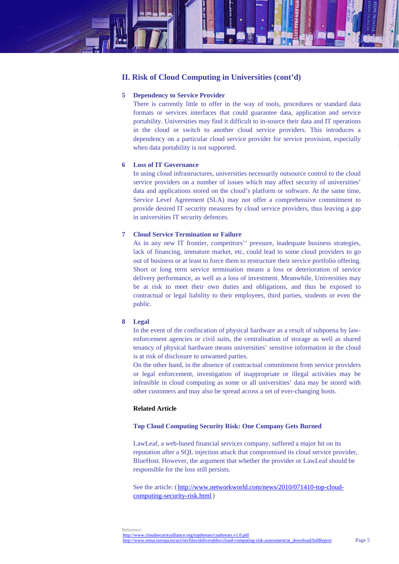

## **5 Dependency to Service Provider**

There is currently little to offer in the way of tools, procedures or standard data formats or services interfaces that could guarantee data, application and service portability. Universities may find it difficult to in-source their data and IT operations in the cloud or switch to another cloud service providers. This introduces a dependency on a particular cloud service provider for service provision, especially when data portability is not supported.

## **6 Loss of IT Governance**

In using cloud infrastructures, universities necessarily outsource control to the cloud service providers on a number of issues which may affect security of universities' data and applications stored on the cloud's platform or software. At the same time, Service Level Agreement (SLA) may not offer a comprehensive commitment to provide desired IT security measures by cloud service providers, thus leaving a gap in universities IT security defences.

## **7 Cloud Service Termination or Failure**

As in any new IT frontier, competitors'' pressure, inadequate business strategies, lack of financing, immature market, etc, could lead to some cloud providers to go out of business or at least to force them to restructure their service portfolio offering. Short or long term service termination means a loss or deterioration of service delivery performance, as well as a loss of investment. Meanwhile, Universities may be at risk to meet their own duties and obligations, and thus be exposed to contractual or legal liability to their employees, third parties, students or even the public.

## **8 Legal**

In the event of the confiscation of physical hardware as a result of subpoena by lawenforcement agencies or civil suits, the centralisation of storage as well as shared tenancy of physical hardware means universities' sensitive information in the cloud is at risk of disclosure to unwanted parties.

On the other hand, in the absence of contractual commitment from service providers or legal enforcement, investigation of inappropriate or illegal activities may be infeasible in cloud computing as some or all universities' data may be stored with other customers and may also be spread across a set of ever-changing hosts.

## **Related Article**

## **Top Cloud Computing Security Risk: One Company Gets Burned**

LawLeaf, a web-based financial services company, suffered a major hit on its reputation after a SQL injection attack that compromised its cloud service provider, BlueHost. However, the argument that whether the provider or LawLeaf should be responsible for the loss still persists.

See the article: (http://www.networkworld.com/news/2010/071410-top-cloudcomputing-security-risk.html.)

Page 5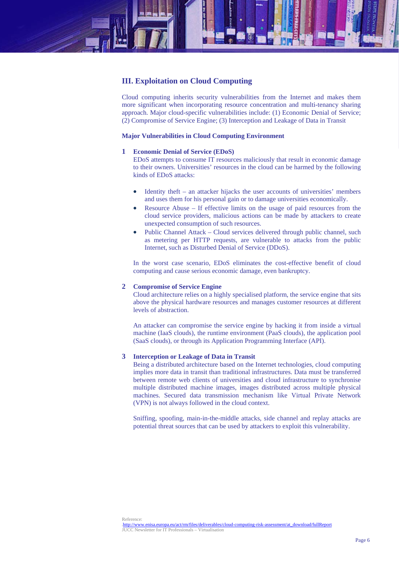

## **III. Exploitation on Cloud Computing**

Cloud computing inherits security vulnerabilities from the Internet and makes them more significant when incorporating resource concentration and multi-tenancy sharing approach. Major cloud-specific vulnerabilities include: (1) Economic Denial of Service; (2) Compromise of Service Engine; (3) Interception and Leakage of Data in Transit

## **Major Vulnerabilities in Cloud Computing Environment**

#### **1 Economic Denial of Service (EDoS)**

EDoS attempts to consume IT resources maliciously that result in economic damage to their owners. Universities' resources in the cloud can be harmed by the following kinds of EDoS attacks:

- Identity theft an attacker hijacks the user accounts of universities' members and uses them for his personal gain or to damage universities economically.
- Resource Abuse If effective limits on the usage of paid resources from the cloud service providers, malicious actions can be made by attackers to create unexpected consumption of such resources.
- Public Channel Attack Cloud services delivered through public channel, such as metering per HTTP requests, are vulnerable to attacks from the public Internet, such as Disturbed Denial of Service (DDoS).

In the worst case scenario, EDoS eliminates the cost-effective benefit of cloud computing and cause serious economic damage, even bankruptcy.

#### **2 Compromise of Service Engine**

Cloud architecture relies on a highly specialised platform, the service engine that sits above the physical hardware resources and manages customer resources at different levels of abstraction.

An attacker can compromise the service engine by hacking it from inside a virtual machine (IaaS clouds), the runtime environment (PaaS clouds), the application pool (SaaS clouds), or through its Application Programming Interface (API).

#### **3 Interception or Leakage of Data in Transit**

Being a distributed architecture based on the Internet technologies, cloud computing implies more data in transit than traditional infrastructures. Data must be transferred between remote web clients of universities and cloud infrastructure to synchronise multiple distributed machine images, images distributed across multiple physical machines. Secured data transmission mechanism like Virtual Private Network (VPN) is not always followed in the cloud context.

Sniffing, spoofing, main-in-the-middle attacks, side channel and replay attacks are potential threat sources that can be used by attackers to exploit this vulnerability.

http://www.enisa.europa.eu/act/rm/files/deliverables/cloud-computing-risk-assessment/at\_download/fullReport JUCC Newsletter for IT Professionals – Virtualisation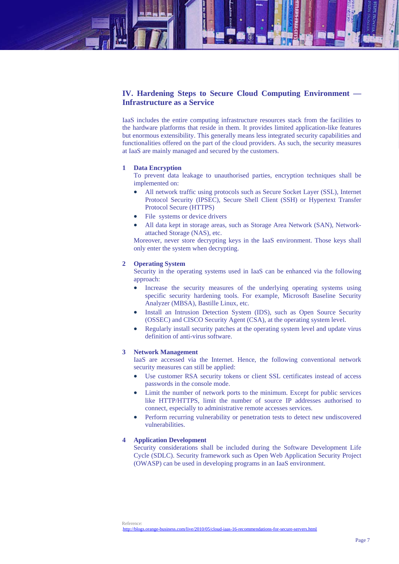## **IV. Hardening Steps to Secure Cloud Computing Environment — Infrastructure as a Service**

IaaS includes the entire computing infrastructure resources stack from the facilities to the hardware platforms that reside in them. It provides limited application-like features but enormous extensibility. This generally means less integrated security capabilities and functionalities offered on the part of the cloud providers. As such, the security measures at IaaS are mainly managed and secured by the customers.

## **1 Data Encryption**

To prevent data leakage to unauthorised parties, encryption techniques shall be implemented on:

- All network traffic using protocols such as Secure Socket Layer (SSL), Internet Protocol Security (IPSEC), Secure Shell Client (SSH) or Hypertext Transfer Protocol Secure (HTTPS)
- File systems or device drivers
- All data kept in storage areas, such as Storage Area Network (SAN), Networkattached Storage (NAS), etc.

Moreover, never store decrypting keys in the IaaS environment. Those keys shall only enter the system when decrypting.

#### **2 Operating System**

Security in the operating systems used in IaaS can be enhanced via the following approach:

- Increase the security measures of the underlying operating systems using specific security hardening tools. For example, Microsoft Baseline Security Analyzer (MBSA), Bastille Linux, etc.
- Install an Intrusion Detection System (IDS), such as Open Source Security (OSSEC) and CISCO Security Agent (CSA), at the operating system level.
- Regularly install security patches at the operating system level and update virus definition of anti-virus software.

#### **3 Network Management**

IaaS are accessed via the Internet. Hence, the following conventional network security measures can still be applied:

- Use customer RSA security tokens or client SSL certificates instead of access passwords in the console mode.
- Limit the number of network ports to the minimum. Except for public services like HTTP/HTTPS, limit the number of source IP addresses authorised to connect, especially to administrative remote accesses services.
- Perform recurring vulnerability or penetration tests to detect new undiscovered vulnerabilities.

## **4 Application Development**

Security considerations shall be included during the Software Development Life Cycle (SDLC). Security framework such as Open Web Application Security Project (OWASP) can be used in developing programs in an IaaS environment.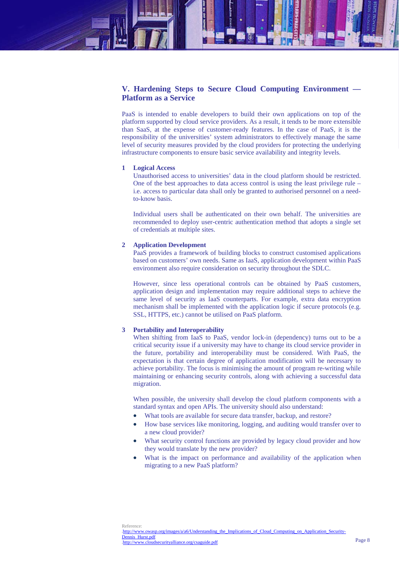# **V. Hardening Steps to Secure Cloud Computing Environment — Platform as a Service**

PaaS is intended to enable developers to build their own applications on top of the platform supported by cloud service providers. As a result, it tends to be more extensible than SaaS, at the expense of customer-ready features. In the case of PaaS, it is the responsibility of the universities' system administrators to effectively manage the same level of security measures provided by the cloud providers for protecting the underlying infrastructure components to ensure basic service availability and integrity levels.

#### **1 Logical Access**

Unauthorised access to universities' data in the cloud platform should be restricted. One of the best approaches to data access control is using the least privilege rule – i.e. access to particular data shall only be granted to authorised personnel on a needto-know basis.

Individual users shall be authenticated on their own behalf. The universities are recommended to deploy user-centric authentication method that adopts a single set of credentials at multiple sites.

## **2 Application Development**

PaaS provides a framework of building blocks to construct customised applications based on customers' own needs. Same as IaaS, application development within PaaS environment also require consideration on security throughout the SDLC.

However, since less operational controls can be obtained by PaaS customers, application design and implementation may require additional steps to achieve the same level of security as IaaS counterparts. For example, extra data encryption mechanism shall be implemented with the application logic if secure protocols (e.g. SSL, HTTPS, etc.) cannot be utilised on PaaS platform.

## **3 Portability and Interoperability**

When shifting from IaaS to PaaS, vendor lock-in (dependency) turns out to be a critical security issue if a university may have to change its cloud service provider in the future, portability and interoperability must be considered. With PaaS, the expectation is that certain degree of application modification will be necessary to achieve portability. The focus is minimising the amount of program re-writing while maintaining or enhancing security controls, along with achieving a successful data migration.

When possible, the university shall develop the cloud platform components with a standard syntax and open APIs. The university should also understand:

- What tools are available for secure data transfer, backup, and restore?
- How base services like monitoring, logging, and auditing would transfer over to a new cloud provider?
- What security control functions are provided by legacy cloud provider and how they would translate by the new provider?
- What is the impact on performance and availability of the application when migrating to a new PaaS platform?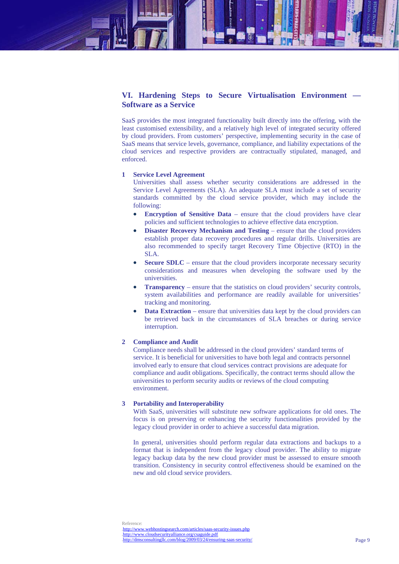# **VI. Hardening Steps to Secure Virtualisation Environment — Software as a Service**

SaaS provides the most integrated functionality built directly into the offering, with the least customised extensibility, and a relatively high level of integrated security offered by cloud providers. From customers' perspective, implementing security in the case of SaaS means that service levels, governance, compliance, and liability expectations of the cloud services and respective providers are contractually stipulated, managed, and enforced.

#### **1 Service Level Agreement**

Universities shall assess whether security considerations are addressed in the Service Level Agreements (SLA). An adequate SLA must include a set of security standards committed by the cloud service provider, which may include the following:

- **Encryption of Sensitive Data** ensure that the cloud providers have clear policies and sufficient technologies to achieve effective data encryption.
- **Disaster Recovery Mechanism and Testing** ensure that the cloud providers establish proper data recovery procedures and regular drills. Universities are also recommended to specify target Recovery Time Objective (RTO) in the SLA.
- **Secure SDLC** ensure that the cloud providers incorporate necessary security considerations and measures when developing the software used by the universities.
- **Transparency** ensure that the statistics on cloud providers' security controls, system availabilities and performance are readily available for universities' tracking and monitoring.
- **Data Extraction** ensure that universities data kept by the cloud providers can be retrieved back in the circumstances of SLA breaches or during service interruption.

## **2 Compliance and Audit**

Compliance needs shall be addressed in the cloud providers' standard terms of service. It is beneficial for universities to have both legal and contracts personnel involved early to ensure that cloud services contract provisions are adequate for compliance and audit obligations. Specifically, the contract terms should allow the universities to perform security audits or reviews of the cloud computing environment.

## **3 Portability and Interoperability**

With SaaS, universities will substitute new software applications for old ones. The focus is on preserving or enhancing the security functionalities provided by the legacy cloud provider in order to achieve a successful data migration.

In general, universities should perform regular data extractions and backups to a format that is independent from the legacy cloud provider. The ability to migrate legacy backup data by the new cloud provider must be assessed to ensure smooth transition. Consistency in security control effectiveness should be examined on the new and old cloud service providers.

Reference:  $<http://www.webhostingsearch.com/articles/saas-security-issues.php>$ http://www.cloudsecurityalliance.org/csaguide.pdf.  $Intp://dmsconsultingllc.com/blog/2009/03/24/ensureing-saas-security/$